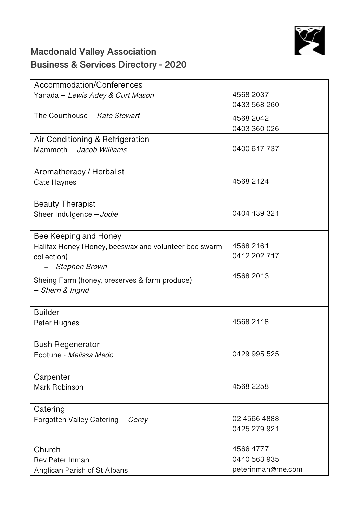

## **Macdonald Valley Association Business & Services Directory - 2020**

| Accommodation/Conferences                             |                   |
|-------------------------------------------------------|-------------------|
| Yanada - Lewis Adey & Curt Mason                      | 4568 2037         |
|                                                       | 0433 568 260      |
| The Courthouse - Kate Stewart                         | 4568 2042         |
|                                                       | 0403 360 026      |
| Air Conditioning & Refrigeration                      |                   |
| Mammoth - Jacob Williams                              | 0400 617 737      |
|                                                       |                   |
| Aromatherapy / Herbalist                              |                   |
| Cate Haynes                                           | 4568 2124         |
|                                                       |                   |
| <b>Beauty Therapist</b>                               |                   |
| Sheer Indulgence - Jodie                              | 0404 139 321      |
|                                                       |                   |
| Bee Keeping and Honey                                 |                   |
| Halifax Honey (Honey, beeswax and volunteer bee swarm | 4568 2161         |
| collection)                                           | 0412 202 717      |
| <b>Stephen Brown</b>                                  |                   |
| Sheing Farm (honey, preserves & farm produce)         | 4568 2013         |
| - Sherri & Ingrid                                     |                   |
|                                                       |                   |
| <b>Builder</b>                                        |                   |
| Peter Hughes                                          | 4568 2118         |
|                                                       |                   |
| <b>Bush Regenerator</b>                               |                   |
| Ecotune - Melissa Medo                                | 0429 995 525      |
|                                                       |                   |
| Carpenter                                             |                   |
| Mark Robinson                                         | 4568 2258         |
|                                                       |                   |
| Catering                                              |                   |
| Forgotten Valley Catering - Corey                     | 02 4566 4888      |
|                                                       | 0425 279 921      |
|                                                       |                   |
| Church                                                | 4566 4777         |
| <b>Rev Peter Inman</b>                                | 0410 563 935      |
| Anglican Parish of St Albans                          | peterinman@me.com |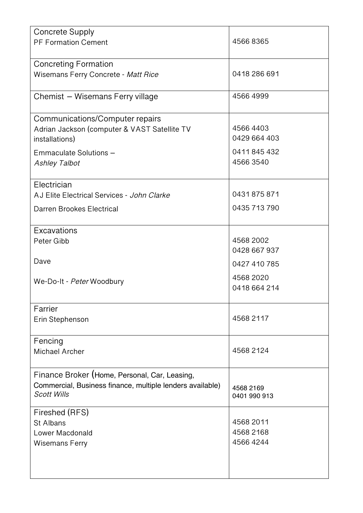| <b>Concrete Supply</b>                                                                                     |                           |
|------------------------------------------------------------------------------------------------------------|---------------------------|
| <b>PF Formation Cement</b>                                                                                 | 45668365                  |
|                                                                                                            |                           |
| <b>Concreting Formation</b><br>Wisemans Ferry Concrete - Matt Rice                                         | 0418 286 691              |
|                                                                                                            |                           |
| Chemist - Wisemans Ferry village                                                                           | 4566 4999                 |
|                                                                                                            |                           |
| Communications/Computer repairs                                                                            |                           |
| Adrian Jackson (computer & VAST Satellite TV                                                               | 4566 4403<br>0429 664 403 |
| installations)                                                                                             |                           |
| Emmaculate Solutions -                                                                                     | 0411845432                |
| <b>Ashley Talbot</b>                                                                                       | 4566 3540                 |
| Electrician                                                                                                |                           |
| AJ Elite Electrical Services - John Clarke                                                                 | 0431875871                |
| Darren Brookes Electrical                                                                                  | 0435 713 790              |
|                                                                                                            |                           |
| Excavations                                                                                                |                           |
| Peter Gibb                                                                                                 | 4568 2002                 |
|                                                                                                            | 0428 667 937              |
| Dave                                                                                                       | 0427 410 785              |
| We-Do-It - Peter Woodbury                                                                                  | 4568 2020                 |
|                                                                                                            | 0418 664 214              |
| Farrier                                                                                                    |                           |
| Erin Stephenson                                                                                            | 4568 2117                 |
|                                                                                                            |                           |
| Fencing                                                                                                    |                           |
| Michael Archer                                                                                             | 4568 2124                 |
|                                                                                                            |                           |
| Finance Broker (Home, Personal, Car, Leasing,<br>Commercial, Business finance, multiple lenders available) |                           |
| <b>Scott Wills</b>                                                                                         | 4568 2169<br>0401 990 913 |
|                                                                                                            |                           |
| Fireshed (RFS)                                                                                             |                           |
| St Albans<br>Lower Macdonald                                                                               | 4568 2011<br>4568 2168    |
| <b>Wisemans Ferry</b>                                                                                      | 45664244                  |
|                                                                                                            |                           |
|                                                                                                            |                           |
|                                                                                                            |                           |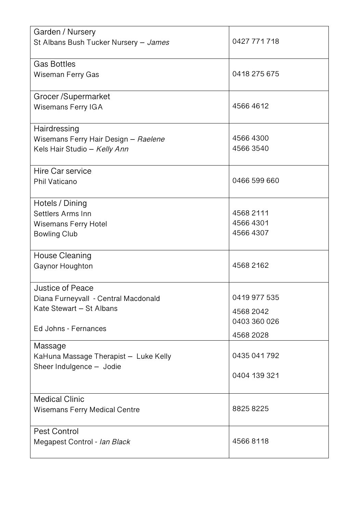| Garden / Nursery                      |              |
|---------------------------------------|--------------|
| St Albans Bush Tucker Nursery - James | 0427 771 718 |
| <b>Gas Bottles</b>                    |              |
| Wiseman Ferry Gas                     | 0418 275 675 |
| Grocer /Supermarket                   |              |
| <b>Wisemans Ferry IGA</b>             | 4566 4612    |
| Hairdressing                          |              |
| Wisemans Ferry Hair Design - Raelene  | 4566 4300    |
| Kels Hair Studio - Kelly Ann          | 4566 3540    |
| Hire Car service                      |              |
| Phil Vaticano                         | 0466 599 660 |
| Hotels / Dining                       |              |
| Settlers Arms Inn                     | 4568 2111    |
| <b>Wisemans Ferry Hotel</b>           | 4566 4301    |
| <b>Bowling Club</b>                   | 4566 4307    |
| House Cleaning                        |              |
| Gaynor Houghton                       | 4568 2162    |
| Justice of Peace                      |              |
| Diana Furneyvall - Central Macdonald  | 0419 977 535 |
| Kate Stewart - St Albans              | 4568 2042    |
|                                       | 0403 360 026 |
| Ed Johns - Fernances                  | 4568 2028    |
| Massage                               |              |
| KaHuna Massage Therapist - Luke Kelly | 0435 041 792 |
| Sheer Indulgence - Jodie              |              |
|                                       | 0404 139 321 |
| <b>Medical Clinic</b>                 |              |
| <b>Wisemans Ferry Medical Centre</b>  | 8825 8225    |
| Pest Control                          |              |
| Megapest Control - Ian Black          | 45668118     |
|                                       |              |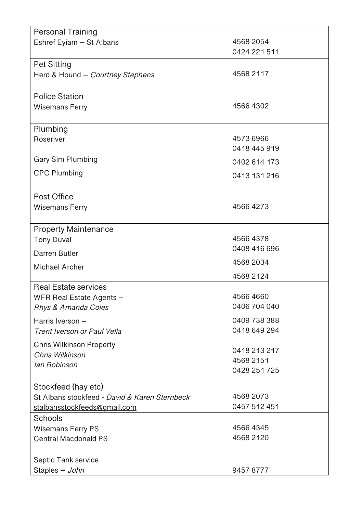| <b>Personal Training</b>                           |              |
|----------------------------------------------------|--------------|
| Eshref Eyiam - St Albans                           | 4568 2054    |
|                                                    | 0424 221 511 |
| <b>Pet Sitting</b>                                 |              |
| Herd & Hound - Courtney Stephens                   | 4568 2117    |
|                                                    |              |
| <b>Police Station</b>                              |              |
| <b>Wisemans Ferry</b>                              | 4566 4302    |
|                                                    |              |
| Plumbing                                           |              |
| Roseriver                                          | 4573 6966    |
|                                                    | 0418 445 919 |
| Gary Sim Plumbing                                  | 0402 614 173 |
| <b>CPC Plumbing</b>                                | 0413 131 216 |
|                                                    |              |
| Post Office                                        |              |
| <b>Wisemans Ferry</b>                              | 4566 4273    |
|                                                    |              |
| <b>Property Maintenance</b>                        |              |
| <b>Tony Duval</b>                                  | 4566 4378    |
| Darren Butler                                      | 0408 416 696 |
|                                                    | 4568 2034    |
| Michael Archer                                     | 4568 2124    |
| <b>Real Estate services</b>                        |              |
| <b>WFR Real Estate Agents</b>                      | 45664660     |
| Rhys & Amanda Coles                                | 0406 704 040 |
| Harris Iverson -                                   | 0409 738 388 |
| Trent Iverson or Paul Vella                        | 0418 649 294 |
|                                                    |              |
| <b>Chris Wilkinson Property</b><br>Chris Wilkinson | 0418 213 217 |
| lan Robinson                                       | 4568 2151    |
|                                                    | 0428 251 725 |
| Stockfeed (hay etc)                                |              |
| St Albans stockfeed - David & Karen Sternbeck      | 4568 2073    |
| stalbansstockfeeds@gmail.com                       | 0457 512 451 |
| Schools                                            |              |
| <b>Wisemans Ferry PS</b>                           | 4566 4345    |
| <b>Central Macdonald PS</b>                        | 4568 2120    |
|                                                    |              |
| Septic Tank service                                |              |
| Staples - John                                     | 94578777     |